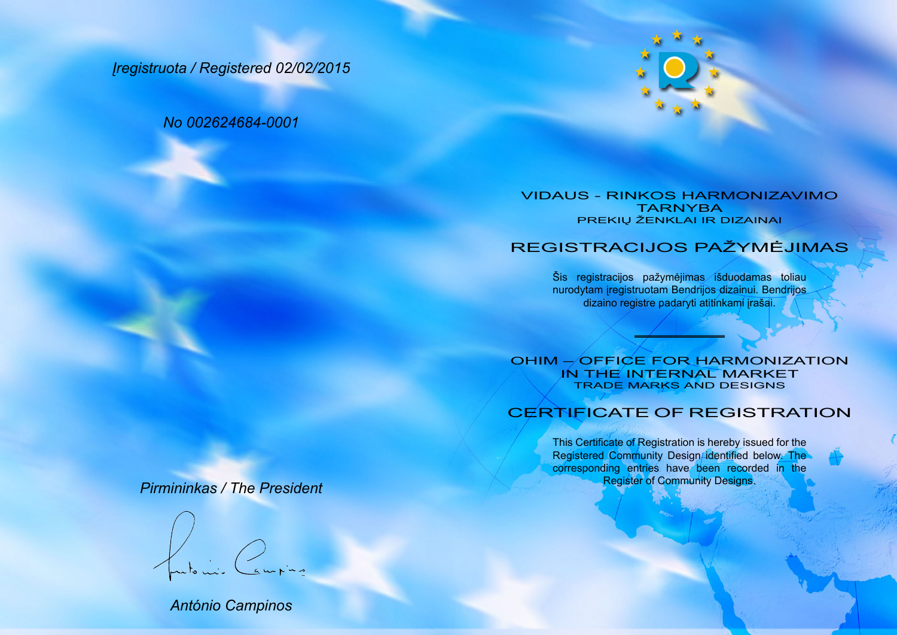*Įregistruota / Registered 02/02/2015*

*No 002624684-0001*



## VIDAUS - RINKOS HARMONIZAVIMO TARNYBA PREKIŲ ŽENKLAI IR DIZAINAI

## REGISTRACIJOS PAŽYMĖJIMAS

Šis registracijos pažymėjimas išduodamas toliau nurodytam įregistruotam Bendrijos dizainui. Bendrijos dizaino registre padaryti atitinkami įrašai.

OHIM – OFFICE FOR HARMONIZATION IN THE INTERNAL MARKET TRADE MARKS AND DESIGNS

## CERTIFICATE OF REGISTRATION

This Certificate of Registration is hereby issued for the Registered Community Design/identified below. The corresponding entries have been recorded in the Register of Community Designs.

## *Pirmininkas / The President*

*António Campinos*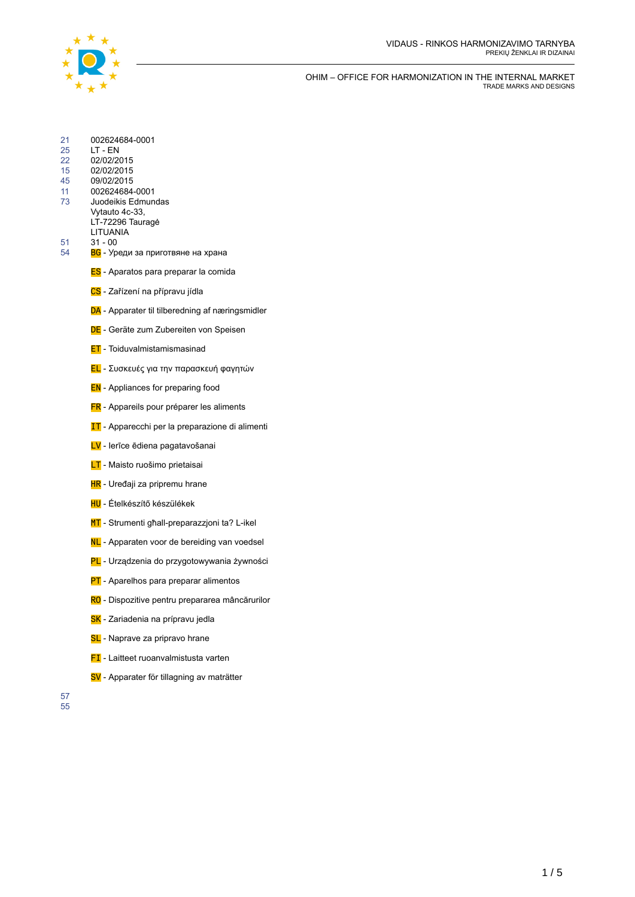

| 21<br>25<br>22<br>15<br>45<br>11<br>73 | 002624684-0001<br>LT - EN<br>02/02/2015<br>02/02/2015<br>09/02/2015<br>002624684-0001<br>Juodeikis Edmundas<br>Vytauto 4c-33,<br>LT-72296 Tauragė<br>LITUANIA |
|----------------------------------------|---------------------------------------------------------------------------------------------------------------------------------------------------------------|
| 51<br>54                               | $31 - 00$<br>ВС - Уреди за приготвяне на храна                                                                                                                |
|                                        | <b>ES</b> - Aparatos para preparar la comida                                                                                                                  |
|                                        | CS - Zařízení na přípravu jídla                                                                                                                               |
|                                        | DA - Apparater til tilberedning af næringsmidler                                                                                                              |
|                                        | DE - Geräte zum Zubereiten von Speisen                                                                                                                        |
|                                        | <b>ET</b> - Toiduvalmistamismasinad                                                                                                                           |
|                                        | <mark>EL</mark> - Συσκευές για την παρασκευή φαγητών                                                                                                          |
|                                        | <b>EN</b> - Appliances for preparing food                                                                                                                     |
|                                        | <b>FR</b> - Appareils pour préparer les aliments                                                                                                              |
|                                        | <b>IT</b> - Apparecchi per la preparazione di alimenti                                                                                                        |
|                                        | LV - lerīce ēdiena pagatavošanai                                                                                                                              |
|                                        | <b>LT</b> - Maisto ruošimo prietaisai                                                                                                                         |
|                                        | HR - Uređaji za pripremu hrane                                                                                                                                |
|                                        | HU - Ételkészítő készülékek                                                                                                                                   |
|                                        | MT - Strumenti għall-preparazzjoni ta? L-ikel                                                                                                                 |
|                                        | NL - Apparaten voor de bereiding van voedsel                                                                                                                  |
|                                        | PL - Urządzenia do przygotowywania żywności                                                                                                                   |
|                                        | <b>PT</b> - Aparelhos para preparar alimentos                                                                                                                 |
|                                        | RO - Dispozitive pentru prepararea mâncărurilor                                                                                                               |
|                                        | SK - Zariadenia na prípravu jedla                                                                                                                             |
|                                        | SL - Naprave za pripravo hrane                                                                                                                                |
|                                        |                                                                                                                                                               |

- **FI** Laitteet ruoanvalmistusta varten
- SV Apparater för tillagning av maträtter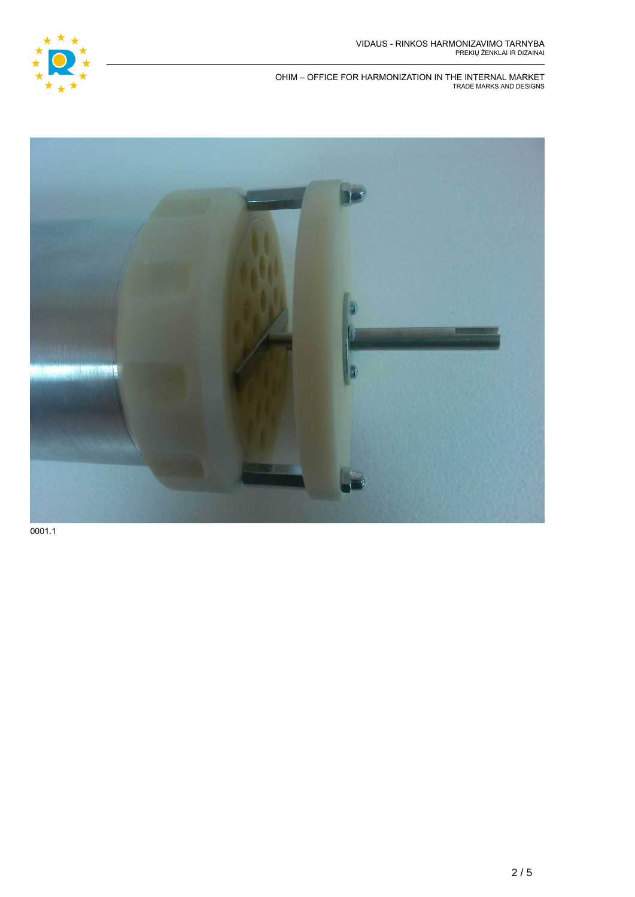

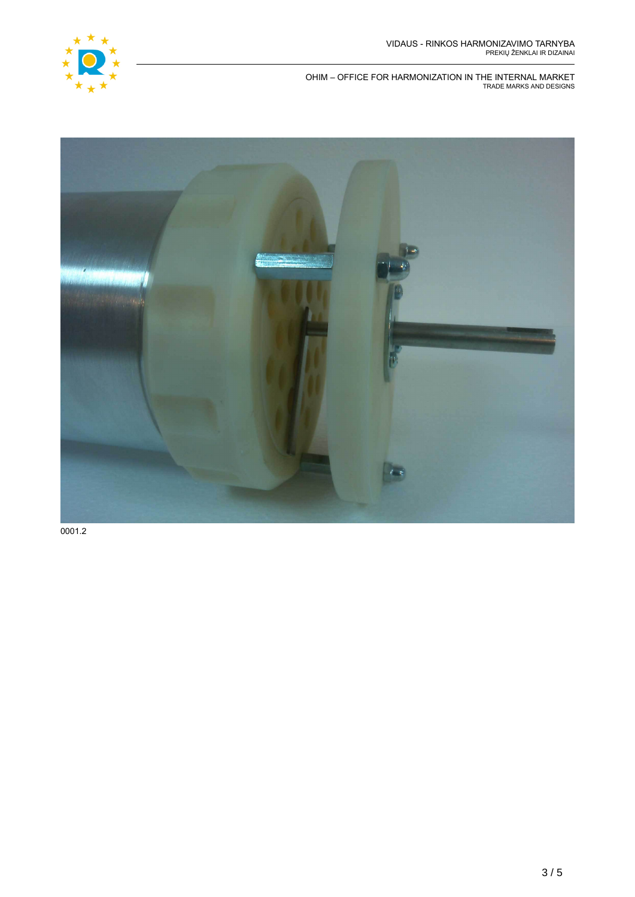

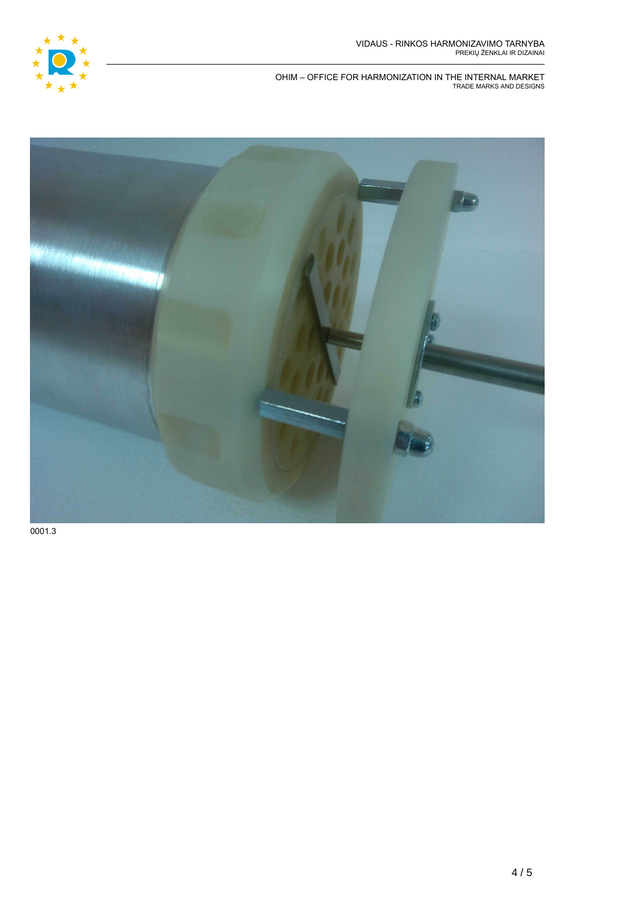